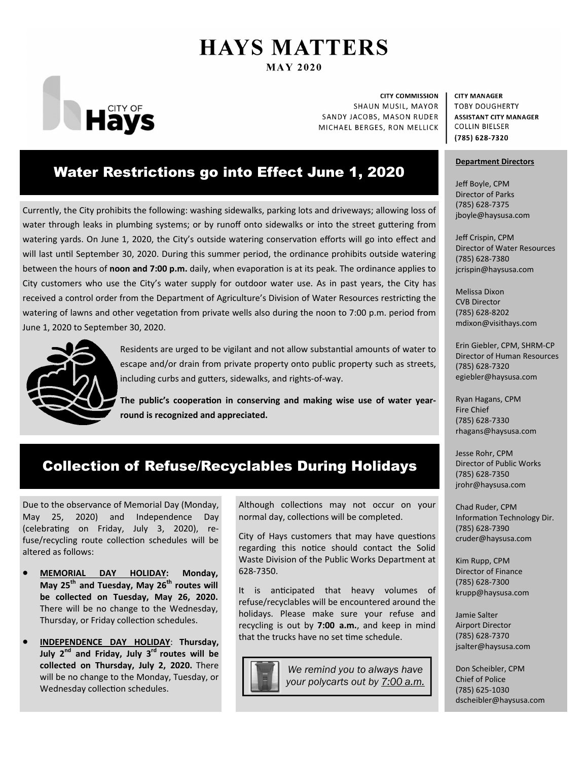# **HAYS MATTERS MAY 2020**



**CITY COMMISSION** SHAUN MUSIL, MAYOR SANDY JACOBS, MASON RUDER MICHAEL BERGES, RON MELLICK

# Water Restrictions go into Effect June 1, 2020

Currently, the City prohibits the following: washing sidewalks, parking lots and driveways; allowing loss of water through leaks in plumbing systems; or by runoff onto sidewalks or into the street guttering from watering yards. On June 1, 2020, the City's outside watering conservation efforts will go into effect and will last until September 30, 2020. During this summer period, the ordinance prohibits outside watering between the hours of noon and 7:00 p.m. daily, when evaporation is at its peak. The ordinance applies to City customers who use the City's water supply for outdoor water use. As in past years, the City has received a control order from the Department of Agriculture's Division of Water Resources restricting the watering of lawns and other vegetation from private wells also during the noon to 7:00 p.m. period from June 1, 2020 to September 30, 2020.



Residents are urged to be vigilant and not allow substantial amounts of water to escape and/or drain from private property onto public property such as streets, including curbs and gutters, sidewalks, and rights-of-way.

The public's cooperation in conserving and making wise use of water year**round is recognized and appreciated.** 

#### **CITY MANAGER TOBY DOUGHERTY ASSISTANT CITY MANAGER COLLIN BIELSER** (785) 628-7320

### **Department Directors**

Jeff Boyle, CPM Director of Parks (785) 628‐7375 jboyle@haysusa.com

Jeff Crispin, CPM Director of Water Resources (785) 628‐7380 jcrispin@haysusa.com

Melissa Dixon CVB Director (785) 628‐8202 mdixon@visithays.com

Erin Giebler, CPM, SHRM‐CP Director of Human Resources (785) 628‐7320 egiebler@haysusa.com

Ryan Hagans, CPM Fire Chief (785) 628‐7330 rhagans@haysusa.com

Jesse Rohr, CPM Director of Public Works (785) 628‐7350 jrohr@haysusa.com

Chad Ruder, CPM Information Technology Dir. (785) 628‐7390 cruder@haysusa.com

Kim Rupp, CPM Director of Finance (785) 628‐7300 krupp@haysusa.com

Jamie Salter Airport Director (785) 628‐7370 jsalter@haysusa.com

Don Scheibler, CPM Chief of Police (785) 625‐1030 dscheibler@haysusa.com

# Collection of Refuse/Recyclables During Holidays

Due to the observance of Memorial Day (Monday, May 25, 2020) and Independence Day (celebrating on Friday, July 3, 2020), refuse/recycling route collection schedules will be altered as follows:

- **MEMORIAL DAY HOLIDAY: Monday,**  May 25<sup>th</sup> and Tuesday, May 26<sup>th</sup> routes will **be collected on Tuesday, May 26, 2020.**  There will be no change to the Wednesday, Thursday, or Friday collection schedules.
- **INDEPENDENCE DAY HOLIDAY**: **Thursday, July 2nd and Friday, July 3rd routes will be collected on Thursday, July 2, 2020.** There will be no change to the Monday, Tuesday, or Wednesday collection schedules.

Although collections may not occur on your normal day, collections will be completed.

City of Hays customers that may have questions regarding this notice should contact the Solid Waste Division of the Public Works Department at 628‐7350.

It is anticipated that heavy volumes of refuse/recyclables will be encountered around the holidays. Please make sure your refuse and recycling is out by **7:00 a.m.**, and keep in mind that the trucks have no set time schedule.



*We remind you to always have your polycarts out by 7:00 a.m.*